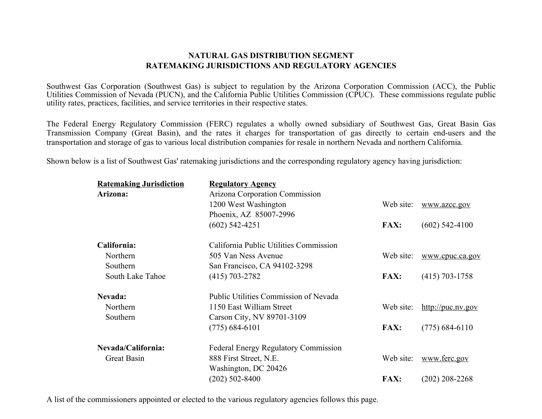#### **NATURAL GAS DISTRIBUTION SEGMENT RATEMAKING JURISDICTIONS AND REGULATORY AGENCIES**

Southwest Gas Corporation (Southwest Gas) is subject to regulation by the Arizona Corporation Commission (ACC), the Public Utilities Commission of Nevada (PUCN), and the California Public Utilities Commission (CPUC). These commissions regulate public utility rates, practices, facilities, and service territories in their respective states.

The Federal Energy Regulatory Commission (FERC) regulates a wholly owned subsidiary of Southwest Gas, Great Basin Gas Transmission Company (Great Basin), and the rates it charges for transportation of gas directly to certain end-users and the transportation and storage of gas to various local distribution companies for resale in northern Nevada and northern California.

Shown below is a list of Southwest Gas' ratemaking jurisdictions and the corresponding regulatory agency having jurisdiction:

| <b>Ratemaking Jurisdiction</b> | <b>Regulatory Agency</b>                    |             |                             |
|--------------------------------|---------------------------------------------|-------------|-----------------------------|
| Arizona:                       | Arizona Corporation Commission              |             |                             |
|                                | 1200 West Washington                        | Web site:   | www.azcc.gov                |
|                                | Phoenix, AZ 85007-2996                      |             |                             |
|                                | $(602)$ 542-4251                            | <b>FAX:</b> | $(602)$ 542-4100            |
| California:                    | California Public Utilities Commission      |             |                             |
| Northern                       | 505 Van Ness Avenue                         | Web site:   | www.cpuc.ca.gov             |
| Southern                       | San Francisco, CA 94102-3298                |             |                             |
| South Lake Tahoe               | $(415)$ 703-2782                            | <b>FAX:</b> | $(415)$ 703-1758            |
| Nevada:                        | Public Utilities Commission of Nevada       |             |                             |
| Northern                       | 1150 East William Street                    | Web site:   | $\frac{http://puc.nv.gov}{$ |
| Southern                       | Carson City, NV 89701-3109                  |             |                             |
|                                | $(775)$ 684-6101                            | <b>FAX:</b> | $(775)$ 684-6110            |
| Nevada/California:             | <b>Federal Energy Regulatory Commission</b> |             |                             |
| Great Basin                    | 888 First Street, N.E.                      | Web site:   | www.ferc.gov                |
|                                | Washington, DC 20426                        |             |                             |
|                                | $(202)$ 502-8400                            | <b>FAX:</b> | $(202)$ 208-2268            |
|                                |                                             |             |                             |

A list of the commissioners appointed or elected to the various regulatory agencies follows this page.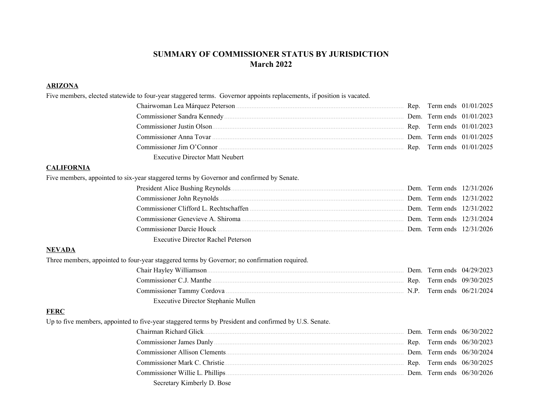### **SUMMARY OF COMMISSIONER STATUS BY JURISDICTION March 2022**

#### **ARIZONA**

| Five members, elected statewide to four-year staggered terms. Governor appoints replacements, if position is vacated.                                                                                                          |  |  |
|--------------------------------------------------------------------------------------------------------------------------------------------------------------------------------------------------------------------------------|--|--|
|                                                                                                                                                                                                                                |  |  |
|                                                                                                                                                                                                                                |  |  |
|                                                                                                                                                                                                                                |  |  |
|                                                                                                                                                                                                                                |  |  |
|                                                                                                                                                                                                                                |  |  |
| <b>Executive Director Matt Neubert</b>                                                                                                                                                                                         |  |  |
| <b>CALIFORNIA</b>                                                                                                                                                                                                              |  |  |
| Five members, appointed to six-year staggered terms by Governor and confirmed by Senate.                                                                                                                                       |  |  |
|                                                                                                                                                                                                                                |  |  |
|                                                                                                                                                                                                                                |  |  |
| Commissioner Clifford L. Rechtschaffen (2002) Dem. Term ends 12/31/2022                                                                                                                                                        |  |  |
|                                                                                                                                                                                                                                |  |  |
|                                                                                                                                                                                                                                |  |  |
| <b>Executive Director Rachel Peterson</b>                                                                                                                                                                                      |  |  |
| <b>NEVADA</b>                                                                                                                                                                                                                  |  |  |
| Three members, appointed to four-year staggered terms by Governor; no confirmation required.                                                                                                                                   |  |  |
|                                                                                                                                                                                                                                |  |  |
|                                                                                                                                                                                                                                |  |  |
|                                                                                                                                                                                                                                |  |  |
| Executive Director Stephanie Mullen                                                                                                                                                                                            |  |  |
| <b>FERC</b>                                                                                                                                                                                                                    |  |  |
| Up to five members, appointed to five-year staggered terms by President and confirmed by U.S. Senate.                                                                                                                          |  |  |
|                                                                                                                                                                                                                                |  |  |
|                                                                                                                                                                                                                                |  |  |
|                                                                                                                                                                                                                                |  |  |
| Commissioner Mark C. Christie Commissioner Mark C. Christie Commissioner Mark C. Christie Commissioner Mark C. Christie Commissioner Mark C. Christie Commissioner Mark C. Christie Commissioner Mark C. Christie Commissioner |  |  |
|                                                                                                                                                                                                                                |  |  |
| Secretary Kimberly D. Bose                                                                                                                                                                                                     |  |  |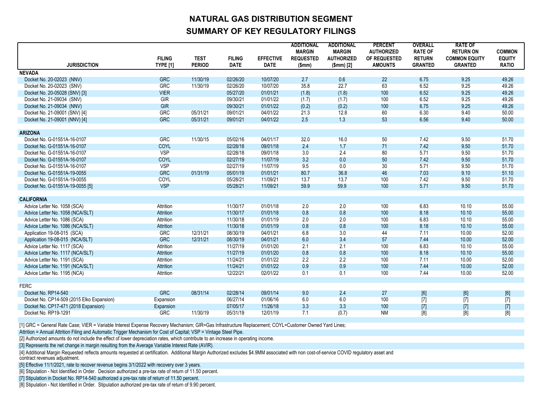## **NATURAL GAS DISTRIBUTION SEGMENT SUMMARY OF KEY REGULATORY FILINGS**

|                                           |                                  |                              |                              |                                 | <b>ADDITIONAL</b><br><b>MARGIN</b> | <b>ADDITIONAL</b><br><b>MARGIN</b> | <b>PERCENT</b><br><b>AUTHORIZED</b> | <b>OVERALL</b><br><b>RATE OF</b>                                                                                                                                                      | <b>RATE OF</b><br><b>RETURN ON</b>                                                                                                                                                                                                                                                                                                                                                                                                                                                                                                                                                                                                                       | <b>COMMON</b>                 |
|-------------------------------------------|----------------------------------|------------------------------|------------------------------|---------------------------------|------------------------------------|------------------------------------|-------------------------------------|---------------------------------------------------------------------------------------------------------------------------------------------------------------------------------------|----------------------------------------------------------------------------------------------------------------------------------------------------------------------------------------------------------------------------------------------------------------------------------------------------------------------------------------------------------------------------------------------------------------------------------------------------------------------------------------------------------------------------------------------------------------------------------------------------------------------------------------------------------|-------------------------------|
| <b>JURISDICTION</b>                       | <b>FILING</b><br><b>TYPE [1]</b> | <b>TEST</b><br><b>PERIOD</b> | <b>FILING</b><br><b>DATE</b> | <b>EFFECTIVE</b><br><b>DATE</b> | <b>REQUESTED</b><br>\$mm)          | <b>AUTHORIZED</b><br>$(Smm)$ [2]   | OF REQUESTED<br><b>AMOUNTS</b>      | <b>RETURN</b><br><b>GRANTED</b>                                                                                                                                                       | <b>COMMON EQUITY</b><br><b>GRANTED</b>                                                                                                                                                                                                                                                                                                                                                                                                                                                                                                                                                                                                                   | <b>EQUITY</b><br><b>RATIO</b> |
| <b>NEVADA</b>                             |                                  |                              |                              |                                 |                                    |                                    |                                     |                                                                                                                                                                                       |                                                                                                                                                                                                                                                                                                                                                                                                                                                                                                                                                                                                                                                          |                               |
| Docket No. 20-02023 (NNV)                 | <b>GRC</b>                       | 11/30/19                     | 02/26/20                     | 10/07/20                        | 2.7                                | 0.6                                | 22                                  | 6.75                                                                                                                                                                                  | 9.25                                                                                                                                                                                                                                                                                                                                                                                                                                                                                                                                                                                                                                                     | 49.26                         |
| Docket No. 20-02023 (SNV)                 | <b>GRC</b>                       | 11/30/19                     | 02/26/20                     | 10/07/20                        | 35.8                               | 22.7                               | 63                                  | 6.52                                                                                                                                                                                  | 9.25                                                                                                                                                                                                                                                                                                                                                                                                                                                                                                                                                                                                                                                     | 49.26                         |
| Docket No. 20-05028 (SNV) [3]             | <b>VIER</b>                      |                              | 05/27/20                     | 01/01/21                        | (1.8)                              | (1.8)                              | 100                                 | 6.52                                                                                                                                                                                  | 9.25                                                                                                                                                                                                                                                                                                                                                                                                                                                                                                                                                                                                                                                     | 49.26                         |
| Docket No. 21-09034 (SNV)                 | <b>GIR</b>                       |                              | 09/30/21                     | 01/01/22                        | (1.7)                              | (1.7)                              | 100                                 | 6.52                                                                                                                                                                                  | 9.25                                                                                                                                                                                                                                                                                                                                                                                                                                                                                                                                                                                                                                                     | 49.26                         |
| Docket No. 21-09034 (NNV)                 | GIR                              |                              | 09/30/21                     | 01/01/22                        | (0.2)                              | (0.2)                              | 100                                 | 6.75                                                                                                                                                                                  | 9.25                                                                                                                                                                                                                                                                                                                                                                                                                                                                                                                                                                                                                                                     | 49.26                         |
| Docket No. 21-09001 (SNV) [4]             | <b>GRC</b>                       | 05/31/21                     | 09/01/21                     | 04/01/22                        | 21.3                               | 12.8                               | 60                                  | 6.30                                                                                                                                                                                  | 9.40                                                                                                                                                                                                                                                                                                                                                                                                                                                                                                                                                                                                                                                     | 50.00                         |
| Docket No. 21-09001 (NNV) [4]             | <b>GRC</b>                       | 05/31/21                     | 09/01/21                     | 04/01/22                        | 2.5                                | 1.3                                | 53                                  | 6.56                                                                                                                                                                                  | 9.40                                                                                                                                                                                                                                                                                                                                                                                                                                                                                                                                                                                                                                                     | 50.00                         |
| <b>ARIZONA</b>                            |                                  |                              |                              |                                 |                                    |                                    |                                     |                                                                                                                                                                                       |                                                                                                                                                                                                                                                                                                                                                                                                                                                                                                                                                                                                                                                          |                               |
| Docket No. G-01551A-16-0107               | <b>GRC</b>                       | 11/30/15                     | 05/02/16                     | 04/01/17                        | 32.0                               | 16.0                               | 50                                  | 7.42                                                                                                                                                                                  | 9.50                                                                                                                                                                                                                                                                                                                                                                                                                                                                                                                                                                                                                                                     | 51.70                         |
| Docket No. G-01551A-16-0107               | <b>COYL</b>                      |                              | 02/28/18                     | 09/01/18                        | 2.4                                | 1.7                                | 71                                  | 7.42                                                                                                                                                                                  | 9.50                                                                                                                                                                                                                                                                                                                                                                                                                                                                                                                                                                                                                                                     | 51.70                         |
| Docket No. G-01551A-16-0107               | <b>VSP</b>                       |                              | 02/28/18                     | 09/01/18                        | 3.0                                | 2.4                                | 80                                  | 5.71                                                                                                                                                                                  | 9.50                                                                                                                                                                                                                                                                                                                                                                                                                                                                                                                                                                                                                                                     | 51.70                         |
| Docket No. G-01551A-16-0107               | <b>COYL</b>                      |                              | 02/27/19                     | 11/07/19                        | 3.2                                | 0.0                                | 50                                  | 7.42                                                                                                                                                                                  | 9.50                                                                                                                                                                                                                                                                                                                                                                                                                                                                                                                                                                                                                                                     | 51.70                         |
| Docket No. G-01551A-16-0107               | <b>VSP</b>                       |                              | 02/27/19                     | 11/07/19                        | 9.5                                | 0.0                                | 30 <sup>2</sup>                     | 5.71                                                                                                                                                                                  | 9.50                                                                                                                                                                                                                                                                                                                                                                                                                                                                                                                                                                                                                                                     | 51.70                         |
| Docket No. G-01551A-19-0055               | <b>GRC</b>                       | 01/31/19                     | 05/01/19                     | 01/01/21                        | 80.7                               | 36.8                               | 46                                  | 7.03                                                                                                                                                                                  | 9.10                                                                                                                                                                                                                                                                                                                                                                                                                                                                                                                                                                                                                                                     | 51.10                         |
| Docket No. G-01551A-19-0055               | <b>COYL</b>                      |                              | 05/28/21                     | 11/09/21                        | 13.7                               | 13.7                               | 100                                 | 7.42                                                                                                                                                                                  | 9.50                                                                                                                                                                                                                                                                                                                                                                                                                                                                                                                                                                                                                                                     | 51.70                         |
| Docket No. G-01551A-19-0055 [5]           | <b>VSP</b>                       |                              | 05/28/21                     | 11/09/21                        | 59.9                               | 59.9                               | 100                                 | 5.71                                                                                                                                                                                  | 9.50                                                                                                                                                                                                                                                                                                                                                                                                                                                                                                                                                                                                                                                     | 51.70                         |
|                                           |                                  |                              |                              |                                 |                                    |                                    |                                     |                                                                                                                                                                                       |                                                                                                                                                                                                                                                                                                                                                                                                                                                                                                                                                                                                                                                          |                               |
| <b>CALIFORNIA</b>                         |                                  |                              |                              |                                 |                                    |                                    |                                     |                                                                                                                                                                                       |                                                                                                                                                                                                                                                                                                                                                                                                                                                                                                                                                                                                                                                          |                               |
| Advice Letter No. 1058 (SCA)              | Attrition                        |                              | 11/30/17                     | 01/01/18                        | 2.0                                | 2.0                                | 100                                 | 6.83                                                                                                                                                                                  | 10.10                                                                                                                                                                                                                                                                                                                                                                                                                                                                                                                                                                                                                                                    | 55.00                         |
| Advice Letter No. 1058 (NCA/SLT)          | Attrition                        |                              | 11/30/17                     | 01/01/18                        | 0.8                                | 0.8                                | 100                                 | 8.18                                                                                                                                                                                  | 10.10                                                                                                                                                                                                                                                                                                                                                                                                                                                                                                                                                                                                                                                    | 55.00                         |
| Advice Letter No. 1086 (SCA)              | Attrition                        |                              | 11/30/18                     | 01/01/19                        | 2.0                                | 2.0                                | 100                                 | 6.83                                                                                                                                                                                  | 10.10                                                                                                                                                                                                                                                                                                                                                                                                                                                                                                                                                                                                                                                    | 55.00                         |
| Advice Letter No. 1086 (NCA/SLT)          | Attrition                        |                              | 11/30/18                     | 01/01/19                        | 0.8                                | 0.8                                | 100                                 | 8.18                                                                                                                                                                                  | 10.10                                                                                                                                                                                                                                                                                                                                                                                                                                                                                                                                                                                                                                                    | 55.00                         |
| Application 19-08-015 (SCA)               | <b>GRC</b>                       | 12/31/21                     | 08/30/19                     | 04/01/21                        | 6.8                                | 3.0                                | 44                                  | 7.11                                                                                                                                                                                  | 10.00                                                                                                                                                                                                                                                                                                                                                                                                                                                                                                                                                                                                                                                    | 52.00                         |
| Application 19-08-015 (NCA/SLT)           | <b>GRC</b>                       | 12/31/21                     | 08/30/19                     | 04/01/21                        | 6.0                                | 3.4                                | 57                                  | 7.44                                                                                                                                                                                  | 10.00                                                                                                                                                                                                                                                                                                                                                                                                                                                                                                                                                                                                                                                    | 52.00                         |
| Advice Letter No. 1117 (SCA)              | Attrition                        |                              | 11/27/19                     | 01/01/20                        | 2.1                                | 2.1                                | 100                                 | 6.83                                                                                                                                                                                  | 10.10                                                                                                                                                                                                                                                                                                                                                                                                                                                                                                                                                                                                                                                    | 55.00                         |
| Advice Letter No. 1117 (NCA/SLT)          | Attrition                        |                              | 11/27/19                     | 01/01/20<br>01/01/22            | 0.8<br>2.2                         | 0.8                                | 100                                 | 8.18                                                                                                                                                                                  | 10.10                                                                                                                                                                                                                                                                                                                                                                                                                                                                                                                                                                                                                                                    | 55.00                         |
| Advice Letter No. 1191 (SCA)              | Attrition                        |                              | 11/24/21                     |                                 |                                    | 2.2                                | 100                                 | 7.11                                                                                                                                                                                  | 10.00                                                                                                                                                                                                                                                                                                                                                                                                                                                                                                                                                                                                                                                    | 52.00                         |
| Advice Letter No. 1191 (NCA/SLT)          | Attrition                        |                              | 11/24/21                     | 01/01/22                        | 0.9                                | 0.9                                | 100                                 | 7.44                                                                                                                                                                                  | 10.00                                                                                                                                                                                                                                                                                                                                                                                                                                                                                                                                                                                                                                                    | 52.00                         |
| Advice Letter No. 1195 (NCA)              | Attrition                        |                              | 12/22/21                     | 02/01/22                        | 0.1                                | 0.1                                | 100                                 | 7.44                                                                                                                                                                                  | 10.00                                                                                                                                                                                                                                                                                                                                                                                                                                                                                                                                                                                                                                                    | 52.00                         |
| <b>FERC</b>                               |                                  |                              |                              |                                 |                                    |                                    |                                     |                                                                                                                                                                                       |                                                                                                                                                                                                                                                                                                                                                                                                                                                                                                                                                                                                                                                          |                               |
| Docket No. RP14-540                       | <b>GRC</b>                       | 08/31/14                     | 02/28/14                     | 09/01/14                        | 9.0                                | 2.4                                | 27                                  | $[6] % \begin{center} \includegraphics[width=\linewidth]{imagesSupplemental/Imetad.png} \end{center} % \caption { % Our method shows the proposed method. % } % \label{fig:limsub} %$ | $[6] % \begin{center} \includegraphics[width=\linewidth]{imagesSupplemental/Imetad.png} \end{center} % \caption { % Our method shows the proposed method. % } % \label{fig:limsub} %$                                                                                                                                                                                                                                                                                                                                                                                                                                                                    | [6]                           |
| Docket No. CP14-509 (2015 Elko Expansion) | Expansion                        |                              | 06/27/14                     | 01/06/16                        | 6.0                                | 6.0                                | 100                                 | $[7]$                                                                                                                                                                                 | $[7] % \begin{minipage}[b]{0.5\linewidth} \centering \includegraphics[width=\textwidth]{figs/fig_10.pdf} \caption{The figure shows the number of times on the number of times.} \label{fig:fig:fig_1} \end{minipage} \vspace{0.05in} \begin{minipage}[b]{0.5\linewidth} \centering \includegraphics[width=\textwidth]{figs/fig_10.pdf} \caption{The figure shows the number of times on the number of times on the number of times.} \label{fig:fig:fig_1} \end{minipage} \vspace{0.05in} \begin{minipage}[b]{0.5\linewidth} \centering \includegraphics[width=\textwidth]{figs/fig_10.pdf} \caption{The figure shows the number of times on the number$ | $[7]$                         |
| Docket No. CP17-471 (2018 Expansion)      | Expansion                        |                              | 07/05/17                     | 11/26/18                        | 3.3                                | 3.3                                | 100                                 | $[7]$                                                                                                                                                                                 | $[7]$                                                                                                                                                                                                                                                                                                                                                                                                                                                                                                                                                                                                                                                    | $[7]$                         |
| Docket No. RP19-1291                      | <b>GRC</b>                       | 11/30/19                     | 05/31/19                     | 12/01/19                        | 7.1                                | (0.7)                              | <b>NM</b>                           | [8]                                                                                                                                                                                   | [8]                                                                                                                                                                                                                                                                                                                                                                                                                                                                                                                                                                                                                                                      | [8]                           |
|                                           |                                  |                              |                              |                                 |                                    |                                    |                                     |                                                                                                                                                                                       |                                                                                                                                                                                                                                                                                                                                                                                                                                                                                                                                                                                                                                                          |                               |

[1] GRC = General Rate Case; VIER = Variable Interest Expense Recovery Mechanism; GIR=Gas Infrastructure Replacement; COYL=Customer Owned Yard Lines;

Attrition = Annual Attrition Filing and Automatic Trigger Mechanism for Cost of Capital; VSP = Vintage Steel Pipe.

[2] Authorized amounts do not include the effect of lower depreciation rates, which contribute to an increase in operating income.

[3] Represents the net change in margin resulting from the Average Variable Interest Rate (AVIR).

[4] Additional Margin Requested reflects amounts requested at certification. Additional Margin Authorized excludes \$4.9MM associated with non cost-of-service COVID regulatory asset and contract revenues adjustment.

[5] Effective 11/1/2021, rate to recover revenue begins 3/1/2022 with recovery over 3 years.

[6] Stipulation - Not Identified in Order. Decision authorized a pre-tax rate of return of 11.50 percent.

[7] Stipulation in Docket No. RP14-540 authorized a pre-tax rate of return of 11.50 percent.

[8] Stipulation - Not Identified in Order. Stipulation authorized pre-tax rate of return of 9.90 percent.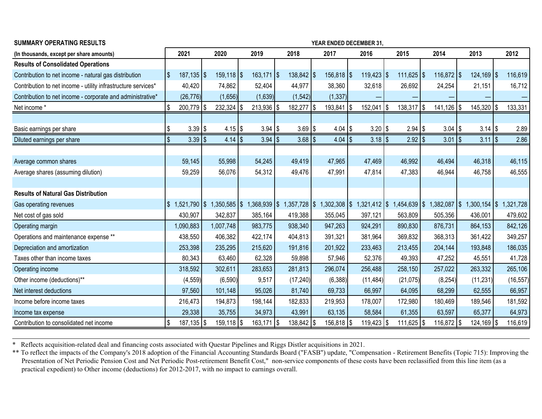| <b>SUMMARY OPERATING RESULTS</b>                              | YEAR ENDED DECEMBER 31,           |                 |                      |                 |                 |                |                 |                |                                  |           |  |  |  |
|---------------------------------------------------------------|-----------------------------------|-----------------|----------------------|-----------------|-----------------|----------------|-----------------|----------------|----------------------------------|-----------|--|--|--|
| (In thousands, except per share amounts)                      | 2021                              | 2020            | 2019                 | 2018            | 2017            | 2016           | 2015            | 2014           | 2013                             | 2012      |  |  |  |
| <b>Results of Consolidated Operations</b>                     |                                   |                 |                      |                 |                 |                |                 |                |                                  |           |  |  |  |
| Contribution to net income - natural gas distribution         | 1\$<br>$187,135$ \\$              | $159, 118$ \\$  | $163,171$ $\sqrt{5}$ | $138,842$ \\$   | $156,818$ \\$   | $119,423$ \\$  | $111,625$ \\$   | $116,872$ \\$  | $124,169$ \\$                    | 116,619   |  |  |  |
| Contribution to net income - utility infrastructure services* | 40,420                            | 74,862          | 52,404               | 44,977          | 38,360          | 32,618         | 26,692          | 24,254         | 21,151                           | 16,712    |  |  |  |
| Contribution to net income - corporate and administrative*    | (26, 776)                         | (1,656)         | (1,639)              | (1, 542)        | (1, 337)        |                |                 |                |                                  |           |  |  |  |
| Net income *                                                  | \$<br>200,779   \$                | $232,324$ \\$   | $213,936$   \$       | 182,277   \$    | $193,841$ \\$   | $152,041$   \$ | $138,317$ \\$   | $141,126$   \$ | $145,320$   \$                   | 133,331   |  |  |  |
|                                                               |                                   |                 |                      |                 |                 |                |                 |                |                                  |           |  |  |  |
| Basic earnings per share                                      | $3.39$ \\$<br>\$                  | $4.15$ \\$      | $3.94$ \\$           | $3.69$   \$     | $4.04$ \\$      | $3.20$ \\$     | $2.94$ \\$      | $3.04$   \$    | $3.14$ $\sqrt{5}$                | 2.89      |  |  |  |
| Diluted earnings per share                                    | \$<br>$3.39$ \\$                  | $4.14$ \\$      | $3.94$ \\$           | $3.68$ \\$      | $4.04$ \\$      | $3.18$ \\$     | $2.92$ \\$      | $3.01$ \\$     | $3.11$ $\sqrt{5}$                | 2.86      |  |  |  |
|                                                               |                                   |                 |                      |                 |                 |                |                 |                |                                  |           |  |  |  |
| Average common shares                                         | 59,145                            | 55,998          | 54,245               | 49,419          | 47,965          | 47,469         | 46,992          | 46,494         | 46,318                           | 46,115    |  |  |  |
| Average shares (assuming dilution)                            | 59,259                            | 56,076          | 54,312               | 49,476          | 47,991          | 47,814         | 47,383          | 46,944         | 46,758                           | 46,555    |  |  |  |
|                                                               |                                   |                 |                      |                 |                 |                |                 |                |                                  |           |  |  |  |
| <b>Results of Natural Gas Distribution</b>                    |                                   |                 |                      |                 |                 |                |                 |                |                                  |           |  |  |  |
| Gas operating revenues                                        | $\mathbf{\$}$<br>$1,521,790$   \$ | $1,350,585$ \\$ | $1,368,939$ \\$      | $1,357,728$ \\$ | $1,302,308$ \\$ | $1,321,412$ \$ | $1,454,639$ \\$ | 1,382,087      | $\frac{1}{2}$<br>$1,300,154$ \\$ | 1,321,728 |  |  |  |
| Net cost of gas sold                                          | 430,907                           | 342,837         | 385,164              | 419,388         | 355,045         | 397,121        | 563,809         | 505,356        | 436,001                          | 479,602   |  |  |  |
| Operating margin                                              | 1,090,883                         | 1,007,748       | 983,775              | 938,340         | 947,263         | 924,291        | 890,830         | 876,731        | 864,153                          | 842,126   |  |  |  |
| Operations and maintenance expense **                         | 438,550                           | 406,382         | 422,174              | 404,813         | 391,321         | 381,964        | 369,832         | 368,313        | 361,422                          | 349,257   |  |  |  |
| Depreciation and amortization                                 | 253,398                           | 235,295         | 215,620              | 191,816         | 201,922         | 233,463        | 213,455         | 204,144        | 193,848                          | 186,035   |  |  |  |
| Taxes other than income taxes                                 | 80,343                            | 63,460          | 62,328               | 59,898          | 57,946          | 52,376         | 49,393          | 47,252         | 45,551                           | 41,728    |  |  |  |
| Operating income                                              | 318,592                           | 302,611         | 283,653              | 281,813         | 296,074         | 256,488        | 258,150         | 257,022        | 263,332                          | 265,106   |  |  |  |
| Other income (deductions)**                                   | (4, 559)                          | (6,590)         | 9,517                | (17, 240)       | (6, 388)        | (11, 484)      | (21, 075)       | (8, 254)       | (11, 231)                        | (16, 557) |  |  |  |
| Net interest deductions                                       | 97,560                            | 101,148         | 95,026               | 81,740          | 69,733          | 66,997         | 64,095          | 68,299         | 62,555                           | 66,957    |  |  |  |
| Income before income taxes                                    | 216,473                           | 194,873         | 198,144              | 182,833         | 219,953         | 178,007        | 172,980         | 180,469        | 189,546                          | 181,592   |  |  |  |
| Income tax expense                                            | 29,338                            | 35,755          | 34,973               | 43,991          | 63,135          | 58,584         | 61,355          | 63,597         | 65,377                           | 64,973    |  |  |  |
| Contribution to consolidated net income                       | \$<br>$187,135$   \$              | $159, 118$ \\$  | $163,171$ $\sqrt{5}$ | $138,842$   \$  | $156,818$ \\$   | $119,423$   \$ | $111,625$   \$  | 116,872   \$   | 124,169   \$                     | 116,619   |  |  |  |

\* Reflects acquisition-related deal and financing costs associated with Questar Pipelines and Riggs Distler acquisitions in 2021.

\*\* To reflect the impacts of the Company's 2018 adoption of the Financial Accounting Standards Board ("FASB") update, "Compensation - Retirement Benefits (Topic 715): Improving the Presentation of Net Periodic Pension Cost and Net Periodic Post-retirement Benefit Cost," non-service components of these costs have been reclassified from this line item (as a practical expedient) to Other income (deductions) for 2012-2017, with no impact to earnings overall.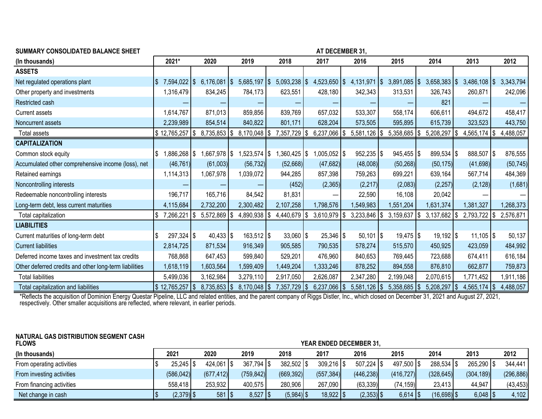|  |  | SUMMARY CONSOLIDATED BALANCE SHEET |
|--|--|------------------------------------|
|--|--|------------------------------------|

**AT DECEMBER 31,** 

| (In thousands)                                         | 2021*                    | 2020                      | 2019                    | 2018                     | 2017                    | 2016                   | 2015                   | 2014                   | 2013                  | 2012      |
|--------------------------------------------------------|--------------------------|---------------------------|-------------------------|--------------------------|-------------------------|------------------------|------------------------|------------------------|-----------------------|-----------|
| <b>ASSETS</b>                                          |                          |                           |                         |                          |                         |                        |                        |                        |                       |           |
| Net regulated operations plant                         | 7,594,022   \$           | $6,176,081$ \\$           | $5,685,197$ \\$         | $5,093,238$ \\$          | $4,523,650$ $\sqrt{ }$  | $4,131,971$ $\sqrt{5}$ | $3,891,085$ \\$        | $3,658,383$ \\$        | $3,486,108$ \\$       | 3,343,794 |
| Other property and investments                         | 1,316,479                | 834,245                   | 784,173                 | 623,551                  | 428,180                 | 342,343                | 313,531                | 326,743                | 260,871               | 242,096   |
| Restricted cash                                        |                          |                           |                         |                          |                         |                        |                        | 821                    |                       |           |
| <b>Current assets</b>                                  | 1,614,767                | 871,013                   | 859,856                 | 839,769                  | 657,032                 | 533,307                | 558,174                | 606,611                | 494,672               | 458,417   |
| Noncurrent assets                                      | 2,239,989                | 854,514                   | 840,822                 | 801,171                  | 628,204                 | 573,505                | 595,895                | 615,739                | 323,523               | 443,750   |
| Total assets                                           | \$12,765,257             | $8,735,853$ $\frac{8}{3}$ | $8,170,048$ \\$         | 7,357,729   \$           | $6,237,066$ \\$         | $5,581,126$ \\$        | $5,358,685$   \$       | 5,208,297              | 4,565,174   \$<br>1\$ | 4,488,057 |
| <b>CAPITALIZATION</b>                                  |                          |                           |                         |                          |                         |                        |                        |                        |                       |           |
| Common stock equity                                    | 1,886,268   \$<br>S      | 1,667,978   \$            | $1,523,574$ $\sqrt{ }$  | $,360,425$ $\frac{1}{3}$ | 1,005,052   \$          | $952,235$   \$         | $945,455$ \\$          | 899,534   \$           | 888,507   \$          | 876,555   |
| Accumulated other comprehensive income (loss), net     | (46, 761)                | (61,003)                  | (56, 732)               | (52,668)                 | (47,682)                | (48,008)               | (50, 268)              | (50, 175)              | (41,698)              | (50, 745) |
| Retained earnings                                      | 1,114,313                | 1,067,978                 | 1,039,072               | 944,285                  | 857,398                 | 759,263                | 699,221                | 639,164                | 567,714               | 484,369   |
| Noncontrolling interests                               |                          |                           |                         | (452)                    | (2,365)                 | (2, 217)               | (2,083)                | (2, 257)               | (2, 128)              | (1,681)   |
| Redeemable noncontrolling interests                    | 196,717                  | 165,716                   | 84,542                  | 81,831                   |                         | 22,590                 | 16,108                 | 20,042                 |                       |           |
| Long-term debt, less current maturities                | 4,115,684                | 2,732,200                 | 2,300,482               | 2,107,258                | 1,798,576               | 1,549,983              | 1,551,204              | 1,631,374              | 1,381,327             | 1,268,373 |
| Total capitalization                                   | 7,266,221                | $5,572,869$ \\$<br>5      | $4,890,938$   \$        | $4,440,679$ \\$          | $3,610,979$ \$          | $3,233,846$ \\$        | 3,159,637              | $3,137,682$ \\$        | $2,793,722$   \$      | 2,576,871 |
| <b>LIABILITIES</b>                                     |                          |                           |                         |                          |                         |                        |                        |                        |                       |           |
| Current maturities of long-term debt                   | $297,324$ \\$            | $40,433$ $\frac{1}{9}$    | $163,512$ $\frac{1}{3}$ | $33,060$ $\frac{1}{3}$   | $25,346$ $\frac{1}{9}$  | $50,101$ $\sqrt$       | $19,475$ $\frac{1}{9}$ | $19,192$ $\frac{1}{3}$ | $11,105$ $\sqrt{5}$   | 50,137    |
| <b>Current liabilities</b>                             | 2,814,725                | 871,534                   | 916,349                 | 905,585                  | 790,535                 | 578,274                | 515,570                | 450,925                | 423,059               | 484,992   |
| Deferred income taxes and investment tax credits       | 768,868                  | 647,453                   | 599,840                 | 529,201                  | 476,960                 | 840,653                | 769,445                | 723,688                | 674,411               | 616,184   |
| Other deferred credits and other long-term liabilities | 1,618,119                | 1,603,564                 | 1,599,409               | 1,449,204                | 1,333,246               | 878,252                | 894,558                | 876,810                | 662,877               | 759,873   |
| <b>Total liabilities</b>                               | 5,499,036                | 3,162,984                 | 3,279,110               | 2,917,050                | 2,626,087               | 2,347,280              | 2,199,048              | 2,070,615              | 1,771,452             | 1,911,186 |
| Total capitalization and liabilities                   | $\frac{1}{2}$ 12,765,257 | $8,735,853$ \\$           | $8,170,048$ \\$         | 7,357,729                | $6,237,066$ \\$<br>l \$ | $5,581,126$ \\$        | $5,358,685$ \\$        | 5,208,297              | $4,565,174$ \\$       | 4,488,057 |

\*Reflects the acquisition of Dominion Energy Questar Pipeline, LLC and related entities, and the parent company of Riggs Distler, Inc., which closed on December 31, 2021 and August 27, 2021, respectively. Other smaller acquisitions are reflected, where relevant, in earlier periods.

### **NATURAL GAS DISTRIBUTION SEGMENT CASH**

| <b>FLOWS</b>              |               | <b>YEAR ENDED DECEMBER 31,</b> |                         |                |                         |              |                        |               |                       |            |  |  |  |
|---------------------------|---------------|--------------------------------|-------------------------|----------------|-------------------------|--------------|------------------------|---------------|-----------------------|------------|--|--|--|
| (In thousands)            | 2021          | 2020                           | 2019                    | 2018           | 2017                    | 2016         | 2015                   | 2014          | 2013                  | 2012       |  |  |  |
| From operating activities | $25,245$   \$ | $424,061$ \\$                  | $367,794$ $\frac{1}{3}$ | $382,502$   \$ | $309,216$ $\frac{1}{9}$ | 507,224   \$ | 497,500   \$           | 288,534   \$  | 265,290   \$          | 344,441    |  |  |  |
| From investing activities | (586, 042)    | (677, 412)                     | (759, 842)              | (669, 392)     | (557, 384)              | (446, 238)   | (416, 727)             | (328, 645)    | (304, 189)            | (296, 886) |  |  |  |
| From financing activities | 558,418       | 253,932                        | 400,575                 | 280,906        | 267,090                 | (63, 339)    | (74, 159)              | 23,413        | 44,947                | (43, 453)  |  |  |  |
| Net change in cash        | $(2,379)$ \$  | $581$   \$                     |                         | $(5,984)$ \$   | $18,922$ \              | $(2,353)$ \$ | $6,614$ $\frac{15}{3}$ | $(16,698)$ \$ | $6,048$ $\frac{1}{3}$ | 4,102      |  |  |  |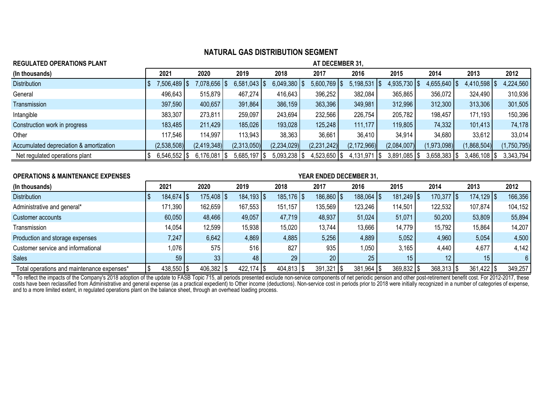| 2021             | 2020        | 2019        | 2018                                       | 2017                               | 2016                                | 2015                                                         | 2014                                      | 2013                                         | 2012                                         |
|------------------|-------------|-------------|--------------------------------------------|------------------------------------|-------------------------------------|--------------------------------------------------------------|-------------------------------------------|----------------------------------------------|----------------------------------------------|
| 7,506,489   \$   |             |             |                                            |                                    |                                     |                                                              |                                           | 4,410,598                                    | 4,224,560                                    |
| 496,643          | 515,879     | 467,274     | 416,643                                    | 396,252                            | 382,084                             | 365,865                                                      | 356,072                                   | 324,490                                      | 310,936                                      |
| 397,590          | 400,657     | 391,864     | 386,159                                    | 363,396                            | 349,981                             | 312,996                                                      | 312,300                                   | 313,306                                      | 301,505                                      |
| 383,307          | 273,811     | 259,097     | 243,694                                    | 232,566                            | 226,754                             | 205,782                                                      | 198,457                                   | 171,193                                      | 150,396                                      |
| 183,485          | 211,429     | 185,026     | 193,028                                    | 125,248                            | 111,177                             | 119,805                                                      | 74,332                                    | 101,413                                      | 74,178                                       |
| 117,546          | 114,997     | 113,943     | 38,363                                     | 36,661                             | 36,410                              | 34,914                                                       | 34,680                                    | 33,612                                       | 33,014                                       |
| (2,538,508)      | (2,419,348) | (2,313,050) | (2,234,029)                                | (2,231,242)                        | (2, 172, 966)                       | (2,084,007)                                                  | (1,973,098)                               | (1,868,504)                                  | (1,750,795)                                  |
| $6,546,552$   \$ |             |             |                                            |                                    |                                     |                                                              |                                           | $3,486,108$ \\$                              | 3,343,794                                    |
|                  |             |             | \$   078,656.<br>$6,176,081$ $\frac{1}{3}$ | $6,581,043$ \\$<br>$5,685,197$ \\$ | $6,049,380$   \$<br>$5,093,238$ \\$ | AT DECEMBER 31,<br>$5,600,769$ \\$<br>$4,523,650$ $\sqrt{ }$ | $5,198,531$ \\$<br>$4,131,971$ $\sqrt{5}$ | $4,935,730$ \\$<br>$3,891,085$ $\frac{8}{3}$ | $4,655,640$ \\$<br>$3,658,383$ $\frac{5}{5}$ |

| <b>OPERATIONS &amp; MAINTENANCE EXPENSES</b> | YEAR ENDED DECEMBER 31, |  |                         |  |                         |  |                          |  |                         |  |                |  |                |                         |                 |  |         |
|----------------------------------------------|-------------------------|--|-------------------------|--|-------------------------|--|--------------------------|--|-------------------------|--|----------------|--|----------------|-------------------------|-----------------|--|---------|
| (In thousands)                               | 2021                    |  | 2020                    |  | 2019                    |  | 2018                     |  | 2017                    |  | 2016           |  | 2015           | 2014                    | 2013            |  | 2012    |
| <b>Distribution</b>                          | $184,674$ $\frac{1}{9}$ |  | $175,408$ $\frac{1}{9}$ |  | $184, 193$ $\sqrt{5}$   |  | $185, 176$ $\frac{1}{3}$ |  | 186,860   \$            |  | $188,064$   \$ |  | $181,249$ \\$  | $170,377$ $\frac{1}{9}$ | $174, 129$ \\$  |  | 166,356 |
| Administrative and general*                  | 171,390                 |  | 162,659                 |  | 167,553                 |  | 151,157                  |  | 135,569                 |  | 123,246        |  | 114,501        | 122,532                 | 107,874         |  | 104,152 |
| Customer accounts                            | 60,050                  |  | 48,466                  |  | 49,057                  |  | 47,719                   |  | 48,937                  |  | 51,024         |  | 51,071         | 50,200                  | 53,809          |  | 55,894  |
| Transmission                                 | 14,054                  |  | 12,599                  |  | 15,938                  |  | 15,020                   |  | 13,744                  |  | 13,666         |  | 14,779         | 15,792                  | 15,864          |  | 14,207  |
| Production and storage expenses              | 7,247                   |  | 6,642                   |  | 4,869                   |  | 4,885                    |  | 5,256                   |  | 4,889          |  | 5,052          | 4,960                   | 5,054           |  | 4,500   |
| Customer service and informational           | 1,076                   |  | 575                     |  | 516                     |  | 827                      |  | 935                     |  | 0.050          |  | 3,165          | 4,440                   | 4,677           |  | 4,142   |
| <b>Sales</b>                                 | 59                      |  | 33 <sup>1</sup>         |  | 48                      |  | 29                       |  | 20                      |  | 25             |  | 15             | 12 <sub>1</sub>         | 15 <sub>1</sub> |  |         |
| Total operations and maintenance expenses*   | $438,550$ $\sqrt{5}$    |  | $406,382$   \$          |  | $422,174$ $\frac{1}{9}$ |  | $404,813$ $\frac{1}{9}$  |  | $391,321$ $\frac{1}{9}$ |  | $381,964$   \$ |  | $369,832$   \$ | $368,313$ $\frac{1}{9}$ | $361,422$   \$  |  | 349,257 |

\* To reflect the impacts of the Company's 2018 adoption of the update to FASB Topic 715, all periods presented exclude non-service components of net periodic pension and other post-retirement benefit cost. For 2012-2017, t costs have been reclassified from Administrative and general expense (as a practical expedient) to Other income (deductions). Non-service cost in periods prior to 2018 were initially recognized in a number of categories of and to a more limited extent, in regulated operations plant on the balance sheet, through an overhead loading process.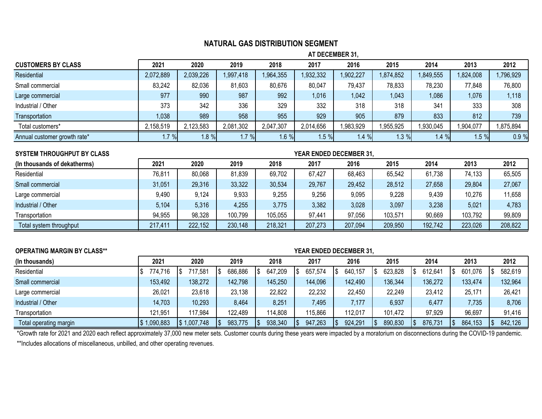**AT DECEMBER 31,**

| <b>CUSTOMERS BY CLASS</b>    | 2021      | 2020      | 2019      | 2018      | 2017      | 2016      | 2015     | 2014      | 2013      | 2012     |
|------------------------------|-----------|-----------|-----------|-----------|-----------|-----------|----------|-----------|-----------|----------|
| Residential                  | 2,072,889 | 2,039,226 | 1,997,418 | ,964,355  | 1,932,332 | 1,902,227 | ,874,852 | 1,849,555 | 1,824,008 | ,796,929 |
| Small commercial             | 83,242    | 82,036    | 81,603    | 80,676    | 80,047    | 79,437    | 78,833   | 78,230    | 77,848    | 76,800   |
| Large commercial             | 977       | 990       | 987       | 992       | 1,016     | 1,042     | 1,043    | 1,086     | 1,076     | 1,118    |
| Industrial / Other           | 373       | 342       | 336       | 329       | 332       | 318       | 318      | 341       | 333       | 308      |
| Transportation               | 1,038     | 989       | 958       | 955       | 929       | 905       | 879      | 833       | 812       | 739      |
| Total customers*             | 2,158,519 | 2,123,583 | 2,081,302 | 2,047,307 | 2,014,656 | 1,983,929 | 955,925  | 930,045   | 1,904,077 | ,875,894 |
| Annual customer growth rate* | 1.7%      | $1.8 \%$  | $1.7 \%$  | 1.6%      | .5%       | 1.4%      | $.3 \%$  | $1.4 \%$  | 1.5%      | 0.9%     |

| <b>SYSTEM THROUGHPUT BY CLASS</b> |         |         |         |         | <b>YEAR ENDED DECEMBER 31,</b> |         |         |         |         |         |
|-----------------------------------|---------|---------|---------|---------|--------------------------------|---------|---------|---------|---------|---------|
| (In thousands of dekatherms)      | 2021    | 2020    | 2019    | 2018    | 2017                           | 2016    | 2015    | 2014    | 2013    | 2012    |
| Residential                       | 76,811  | 80,068  | 81,839  | 69,702  | 67,427                         | 68,463  | 65,542  | 61,738  | 74,133  | 65,505  |
| Small commercial                  | 31,051  | 29,316  | 33,322  | 30,534  | 29,767                         | 29,452  | 28,512  | 27,658  | 29,804  | 27,067  |
| Large commercial                  | 9,490   | 9,124   | 9,933   | 9,255   | 9,256                          | 9,095   | 9,228   | 9,439   | 10,276  | 11,658  |
| Industrial / Other                | 5,104   | 5,316   | 4,255   | 3,775   | 3,382                          | 3,028   | 3,097   | 3,238   | 5,021   | 4,783   |
| Transportation                    | 94,955  | 98,328  | 100,799 | 105,055 | 97,441                         | 97,056  | 103,571 | 90,669  | 103,792 | 99,809  |
| Total system throughput           | 217,411 | 222,152 | 230,148 | 218,321 | 207,273                        | 207,094 | 209,950 | 192,742 | 223,026 | 208,822 |

| <b>OPERATING MARGIN BY CLASS**</b> |           | <b>YEAR ENDED DECEMBER 31,</b> |         |               |               |         |         |         |         |         |  |  |  |  |  |
|------------------------------------|-----------|--------------------------------|---------|---------------|---------------|---------|---------|---------|---------|---------|--|--|--|--|--|
| (In thousands)                     | 2021      | 2020                           | 2019    | 2018          | 2017          | 2016    | 2015    | 2014    | 2013    | 2012    |  |  |  |  |  |
| Residential                        | 774,716   | 717.581                        | 686,886 | 647,209<br>IЪ | 657,574<br>ه⊢ | 640,157 | 623,828 | 612,641 | 601,076 | 582,619 |  |  |  |  |  |
| Small commercial                   | 153,492   | 138,272                        | 142,798 | 145,250       | 144,096       | 142,490 | 136,344 | 136,272 | 133,474 | 132,964 |  |  |  |  |  |
| Large commercial                   | 26,021    | 23,618                         | 23,138  | 22,822        | 22,232        | 22,450  | 22,249  | 23,412  | 25,171  | 26,421  |  |  |  |  |  |
| Industrial / Other                 | 14,703    | 10,293                         | 8,464   | 8,251         | 7,495         | 7,177   | 6,937   | 6,477   | 7,735   | 8,706   |  |  |  |  |  |
| Transportation                     | 121,951   | 117.984                        | 122,489 | 114,808       | 115,866       | 112,017 | 101,472 | 97,929  | 96,697  | 91,416  |  |  |  |  |  |
| Total operating margin             | 1,090,883 | $\frac{1}{2}$ 1,007,748        | 983,775 | 938,340<br>15 | 947,263       | 924,291 | 890,830 | 876,731 | 864,153 | 842,126 |  |  |  |  |  |

\*Growth rate for 2021 and 2020 each reflect approximately 37,000 new meter sets. Customer counts during these years were impacted by a moratorium on disconnections during the COVID-19 pandemic. \*\*Includes allocations of miscellaneous, unbilled, and other operating revenues.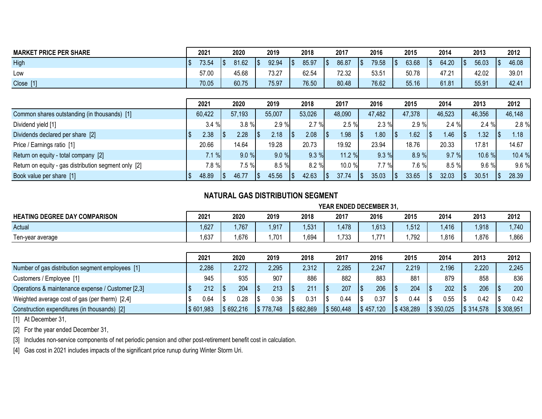| <b>MARKET PRICE PER SHARE</b> | 2021  | 2020          | 2019                | 2018         | 2017        | 2016         | 2015  | 2014  | 2013         | 2012         |
|-------------------------------|-------|---------------|---------------------|--------------|-------------|--------------|-------|-------|--------------|--------------|
| High                          | 73.54 | 81.62<br>. \$ | 92.94<br>$\sqrt{3}$ | 85.97<br>1\$ | 86.87<br>15 | 79.58<br>1\$ | 63.68 | 64.20 | 56.03<br>1\$ | 46.08<br>I S |
| Low                           | 57.00 | 45.68         | 73.27               | 62.54        | 72.32       | 53.51        | 50.78 | 47.21 | 42.02        | 39.01        |
| Close [1]                     | 70.05 | 60.75         | 75.97               | 76.50        | 80.48       | 76.62        | 55.16 | 61.81 | 55.91        | 42.41        |

|                                                      | 2021   | 2020     |                 | 2019   | 2018     |     | 2017   | 2016   |                 | 2015   | 2014   |     | 2013     | 2012   |
|------------------------------------------------------|--------|----------|-----------------|--------|----------|-----|--------|--------|-----------------|--------|--------|-----|----------|--------|
| Common shares outstanding (in thousands) [1]         | 60,422 | 57,193   |                 | 55,007 | 53,026   |     | 48,090 | 47,482 |                 | 47,378 | 46,523 |     | 46,356   | 46,148 |
| Dividend yield [1]                                   | 3.4%   | $3.8 \%$ |                 | 2.9%   | 2.7%     |     | 2.5%   | 2.3%   |                 | 2.9%   | 2.4%   |     | 2.4%     | 2.8 %  |
| Dividends declared per share [2]                     | 2.38   | 2.28     |                 | 2.18   | 2.08     | 1\$ | 1.98   | 1.80   |                 | .62    | 1.46   |     | 1.32     | 1.18   |
| Price / Earnings ratio [1]                           | 20.66  | 14.64    |                 | 19.28  | 20.73    |     | 19.92  | 23.94  |                 | 18.76  | 20.33  |     | 17.81    | 14.67  |
| Return on equity - total company [2]                 | 7.1%   | $9.0 \%$ |                 | 9.0%   | $9.3 \%$ |     | 11.2%  | 9.3%   |                 | 8.9%   | 9.7%   |     | 10.6%    | 10.4 % |
| Return on equity - gas distribution segment only [2] | 7.8 %  | $7.5 \%$ |                 | 8.5%   | 8.2%     |     | 10.0 % | 7.7 %  |                 | 7.6 %  | 8.5%   |     | $9.6 \%$ | 9.6 %  |
| Book value per share [1]                             | 48.89  | 46.77    | $\overline{15}$ | 45.56  | 42.63    | 1\$ | 37.74  | 35.03  | $\overline{15}$ | 33.65  | 32.03  | 1\$ | 30.51    | 28.39  |

|                                                   | YEAR ENDED DECEMBER 31, |       |            |       |                   |       |            |       |       |       |  |  |
|---------------------------------------------------|-------------------------|-------|------------|-------|-------------------|-------|------------|-------|-------|-------|--|--|
| <b>HEATING DEGREE DAY COMPARISON</b>              | 2021                    | 2020  | 2019       | 2018  | 2017              | 2016  | 2015       | 2014  | 2013  | 2012  |  |  |
| Actual                                            | 1,627                   | ,767  | 1,917      | 1.531 | 1,478             | 1,613 | 1,512      | 1,416 | 1,918 | 1,740 |  |  |
| Ten-year average                                  | 1,637                   | .676  | 1,701      | ,694  | 1,733             | 771.، | 1,792      | ,816  | 1,876 | 1,866 |  |  |
|                                                   |                         |       |            |       |                   |       |            |       |       |       |  |  |
|                                                   | 2021                    | 2020  | 2019       | 2018  | 2017              | 2016  | 2015       | 2014  | 2013  | 2012  |  |  |
| Number of gas distribution segment employees [1]  | 2,286                   | 2,272 | 2,295      | 2,312 | 2,285             | 2,247 | 2,219      | 2,196 | 2,220 | 2,245 |  |  |
| Customers / Employee [1]                          | 945                     | 935   | 907        | 886   | 882               | 883   | 881        | 879   | 858   | 836   |  |  |
| Operations & maintenance expense / Customer [2,3] | 212                     | 204   | 213<br>1\$ | 211   | 207<br>$\sqrt{5}$ | 206   | 204<br>1\$ | 202   | 206   | 200   |  |  |

Weighted average cost of gas (per therm) [2,4]  $\begin{array}{|l} \hline \end{array}$   $\begin{array}{|l} \hline \end{array}$  0.64  $\begin{array}{|l} \hline \end{array}$  0.28  $\begin{array}{|l} \hline \end{array}$  0.31  $\begin{array}{|l} \hline \end{array}$  0.44  $\begin{array}{|l} \hline \end{array}$  0.44  $\begin{array}{|l} \hline \end{array}$  0.55  $\begin{array}{|l} \hline$ Construction expenditures (in thousands) [2] \$ 601,983 \$ 692,216 \$ 778,748 \$ 682,869 \$ 560,448 \$ 457,120 \$ 438,289 \$ 350,025 \$ 314,578 \$ 308,951

[1] At December 31,

[2] For the year ended December 31,

[3] Includes non-service components of net periodic pension and other post-retirement benefit cost in calculation.

[4] Gas cost in 2021 includes impacts of the significant price runup during Winter Storm Uri.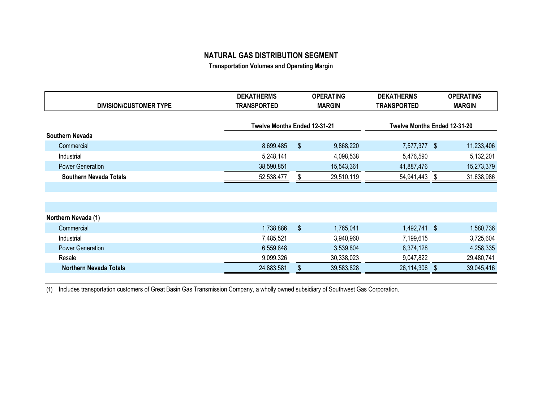**Transportation Volumes and Operating Margin**

|                                                                                            | <b>OPERATING</b> |
|--------------------------------------------------------------------------------------------|------------------|
| <b>DIVISION/CUSTOMER TYPE</b><br><b>TRANSPORTED</b><br><b>MARGIN</b><br><b>TRANSPORTED</b> | <b>MARGIN</b>    |
|                                                                                            |                  |
| Twelve Months Ended 12-31-21<br>Twelve Months Ended 12-31-20                               |                  |
| Southern Nevada                                                                            |                  |
| \$<br>7,577,377 \$<br>8,699,485<br>9,868,220<br>Commercial                                 | 11,233,406       |
| 5,248,141<br>5,476,590<br>Industrial<br>4,098,538                                          | 5,132,201        |
| 38,590,851<br>41,887,476<br><b>Power Generation</b><br>15,543,361                          | 15,273,379       |
| 29,510,119<br>54,941,443<br>Southern Nevada Totals<br>52,538,477<br>S<br>S                 | 31,638,986       |
|                                                                                            |                  |
|                                                                                            |                  |
|                                                                                            |                  |
| Northern Nevada (1)                                                                        |                  |
| \$<br>1,492,741 \$<br>Commercial<br>1,738,886<br>1,765,041                                 | 1,580,736        |
| 7,199,615<br>Industrial<br>7,485,521<br>3,940,960                                          | 3,725,604        |
| <b>Power Generation</b><br>8,374,128<br>6,559,848<br>3,539,804                             | 4,258,335        |
| 9,099,326<br>30,338,023<br>9,047,822<br>Resale                                             | 29,480,741       |
| 26,114,306<br><b>Northern Nevada Totals</b><br>24,883,581<br>39,583,828<br>- \$            | 39,045,416       |

(1) Includes transportation customers of Great Basin Gas Transmission Company, a wholly owned subsidiary of Southwest Gas Corporation.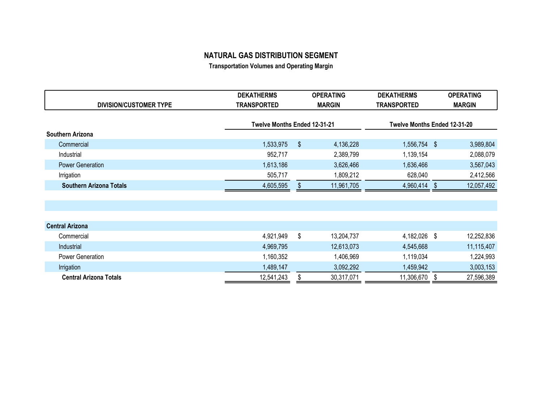**Transportation Volumes and Operating Margin**

|                                | <b>DEKATHERMS</b>            | <b>OPERATING</b> |            | <b>DEKATHERMS</b>            | <b>OPERATING</b> |            |  |
|--------------------------------|------------------------------|------------------|------------|------------------------------|------------------|------------|--|
| <b>DIVISION/CUSTOMER TYPE</b>  | <b>TRANSPORTED</b>           | <b>MARGIN</b>    |            | <b>TRANSPORTED</b>           |                  | MARGIN     |  |
|                                |                              |                  |            |                              |                  |            |  |
|                                | Twelve Months Ended 12-31-21 |                  |            | Twelve Months Ended 12-31-20 |                  |            |  |
| Southern Arizona               |                              |                  |            |                              |                  |            |  |
| Commercial                     | 1,533,975                    | S                | 4,136,228  | 1,556,754 \$                 |                  | 3,989,804  |  |
| Industrial                     | 952,717                      |                  | 2,389,799  | 1,139,154                    |                  | 2,088,079  |  |
| <b>Power Generation</b>        | 1,613,186                    |                  | 3,626,466  | 1,636,466                    |                  | 3,567,043  |  |
| Irrigation                     | 505,717                      |                  | 1,809,212  | 628,040                      |                  | 2,412,566  |  |
| <b>Southern Arizona Totals</b> | 4,605,595                    |                  | 11,961,705 | 4,960,414                    | -S               | 12,057,492 |  |
|                                |                              |                  |            |                              |                  |            |  |

| <b>Central Arizona</b>        |            |            |            |            |
|-------------------------------|------------|------------|------------|------------|
| Commercial                    | 4,921,949  | 13,204,737 | 4,182,026  | 12,252,836 |
| Industrial                    | 4,969,795  | 12,613,073 | 4,545,668  | 11,115,407 |
| Power Generation              | ,160,352   | ,406,969   | 1,119,034  | 1,224,993  |
| Irrigation                    | 1,489,147  | 3,092,292  | 1,459,942  | 3,003,153  |
| <b>Central Arizona Totals</b> | 12,541,243 | 30,317,071 | 11,306,670 | 27,596,389 |